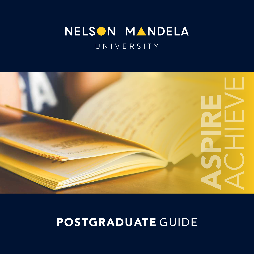## NELSON MANDELA UNIVERSITY



## POSTGRADUATE GUIDE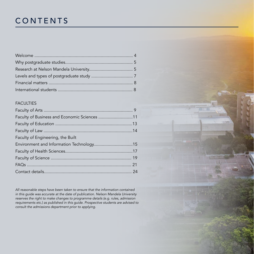## CONTENTS

#### FACULTIES

| Faculty of Business and Economic Sciences 11 |  |
|----------------------------------------------|--|
|                                              |  |
|                                              |  |
| Faculty of Engineering, the Built            |  |
|                                              |  |
|                                              |  |
|                                              |  |
|                                              |  |
|                                              |  |

*All reasonable steps have been taken to ensure that the information contained in this guide was accurate at the date of publication. Nelson Mandela University reserves the right to make changes to programme details (e.g. rules, admission requirements etc.) as published in this guide. Prospective students are advised to consult the admissions department prior to applying.*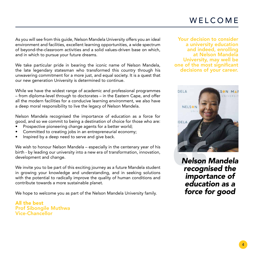As you will see from this guide, Nelson Mandela University offers you an ideal environment and facilities, excellent learning opportunities, a wide spectrum of beyond-the-classroom activities and a solid values-driven base on which, and in which to pursue your future dreams.

We take particular pride in bearing the iconic name of Nelson Mandela, the late legendary statesman who transformed this country through his unwavering commitment for a more just, and equal society. It is a quest that our new generation University is determined to continue.

While we have the widest range of academic and professional programmes – from diploma-level through to doctorates – in the Eastern Cape, and offer all the modern facilities for a conducive learning environment, we also have a deep moral responsibility to live the legacy of Nelson Mandela.

Nelson Mandela recognised the importance of education as a force for good, and so we commit to being a destination of choice for those who are:

- Prospective pioneering change agents for a better world;
- Committed to creating jobs in an entrepreneurial economy;
- Inspired by a deep need to serve and give back.

We wish to honour Nelson Mandela – especially in the centenary year of his birth - by leading our university into a new era of transformation, innovation, development and change.

We invite you to be part of this exciting journey as a future Mandela student in growing your knowledge and understanding, and in seeking solutions with the potential to radically improve the quality of human conditions and contribute towards a more sustainable planet.

We hope to welcome you as part of the Nelson Mandela University family.

All the best Prof Sibongile Muthwa Vice-Chancellor

Your decision to consider a university education and indeed, enrolling at Nelson Mandela University, may well be one of the most significant decisions of your career.



**Nelson Mandela** recognised the importance of education as a force for good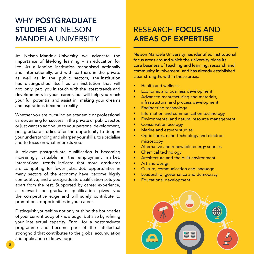#### WHY POSTGRADUATE STUDIES AT NELSON MANDELA UNIVERSITY

At Nelson Mandela University we advocate the importance of life-long learning – an education for life. As a leading institution recognised nationally and internationally, and with partners in the private as well as in the public sectors, the institution has distinguished itself as an institution that will not only put you in touch with the latest trends and developments in your career, but will help you reach your full potential and assist in making your dreams and aspirations become a reality.

Whether you are pursuing an academic or professional career, aiming for success in the private or public sector, or just want to add value to your personal development, postgraduate studies offer the opportunity to deepen your understanding and sharpen your skills, to specialise and to focus on what interests you.

A relevant postgraduate qualification is becoming increasingly valuable in the employment market. International trends indicate that more graduates are competing for fewer jobs. Job opportunities in many sectors of the economy have become highly competitive, and a postgraduate qualification sets you apart from the rest. Supported by career experience, a relevant postgraduate qualification gives you the competitive edge and will surely contribute to promotional opportunities in your career.

Distinguish yourself by not only pushing the boundaries of your current body of knowledge, but also by refining your intellectual capacity. Enroll for a postgraduate programme and become part of the intellectual stronghold that contributes to the global accumulation and application of knowledge.

#### RESEARCH FOCUS AND AREAS OF EXPERTISE

Nelson Mandela University has identified institutional focus areas around which the university plans its core business of teaching and learning, research and community involvement, and has already established clear strengths within these areas:

- Health and wellness
- Economic and business development
- Advanced manufacturing and materials, infrastructural and process development
- Engineering technology
- Information and communication technology
- Environmental and natural resource management
- Conservation ecology
- Marine and estuary studies
- Optic fibres, nano-technology and electron microscopy
- Alternative and renewable energy sources
- Chemical technology
- Architecture and the built environment
- Art and design
- Culture, communication and language
- Leadership, governance and democracy
- Educational development

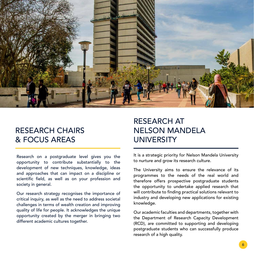

#### RESEARCH CHAIRS & FOCUS AREAS

Research on a postgraduate level gives you the opportunity to contribute substantially to the development of new techniques, knowledge, ideas and approaches that can impact on a discipline or scientific field, as well as on your profession and society in general.

Our research strategy recognises the importance of critical inquiry, as well as the need to address societal challenges in terms of wealth creation and improving quality of life for people. It acknowledges the unique opportunity created by the merger in bringing two different academic cultures together.

## RESEARCH AT NELSON MANDELA UNIVERSITY

It is a strategic priority for Nelson Mandela University to nurture and grow its research culture.

The University aims to ensure the relevance of its programmes to the needs of the real world and therefore offers prospective postgraduate students the opportunity to undertake applied research that will contribute to finding practical solutions relevant to industry and developing new applications for existing knowledge.

Our academic faculties and departments, together with the Department of Research Capacity Development (RCD), are committed to supporting and developing postgraduate students who can successfully produce research of a high quality.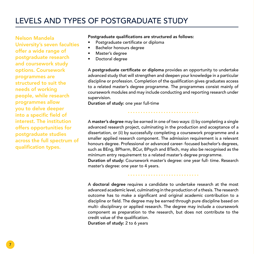#### LEVELS AND TYPES OF POSTGRADUATE STUDY

Nelson Mandela University's seven faculties offer a wide range of postgraduate research and coursework study options. Coursework programmes are structured to suit the needs of working people, while research programmes allow you to delve deeper into a specific field of interest. The institution offers opportunities for postgraduate studies across the full spectrum of qualification types.

#### Postgraduate qualifications are structured as follows:

- Postgraduate certificate or diploma
- Bachelor honours degree
- Master's degree
- Doctoral degree

A postgraduate certificate or diploma provides an opportunity to undertake advanced study that will strengthen and deepen your knowledge in a particular discipline or profession. Completion of the qualification gives graduates access to a related master's degree programme. The programmes consist mainly of coursework modules and may include conducting and reporting research under supervision.

Duration of study: one year full-time

A master's degree may be earned in one of two ways: (i) by completing a single advanced research project, culminating in the production and acceptance of a dissertation, or (ii) by successfully completing a coursework programme and a smaller applied research component. The admission requirement is a relevant honours degree. Professional or advanced career- focused bachelor's degrees, such as BEng, BPharm, BCur, BPsych and BTech, may also be recognised as the minimum entry requirement to a related master's degree programme. Duration of study: Coursework master's degree: one year full- time. Research

master's degree: one year to 4 years.

A doctoral degree requires a candidate to undertake research at the most advanced academic level, culminating in the production of a thesis. The research outcome has to make a significant and original academic contribution to a discipline or field. The degree may be earned through pure discipline based on multi- disciplinary or applied research. The degree may include a coursework component as preparation to the research, but does not contribute to the credit value of the qualification. Duration of study: 2 to 6 years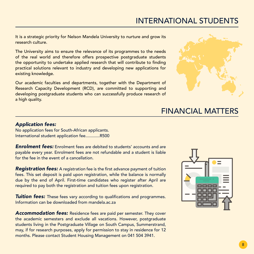#### INTERNATIONAL STUDENTS

It is a strategic priority for Nelson Mandela University to nurture and grow its research culture.

The University aims to ensure the relevance of its programmes to the needs of the real world and therefore offers prospective postgraduate students the opportunity to undertake applied research that will contribute to finding practical solutions relevant to industry and developing new applications for existing knowledge.

Our academic faculties and departments, together with the Department of Research Capacity Development (RCD), are committed to supporting and developing postgraduate students who can successfully produce research of a high quality.



#### FINANCIAL MATTERS

#### *Application fees:*

No application fees for South-African applicants. International student application fee............R500

**Enrolment fees:** Enrolment fees are debited to students' accounts and are payable every year. Enrolment fees are not refundable and a student is liable for the fee in the event of a cancellation.

*Registration fees:* A registration fee is the first advance payment of tuition fees. This set deposit is paid upon registration, while the balance is normally due by the end of April. First-time candidates who register after April are required to pay both the registration and tuition fees upon registration.

*Tuition fees:* These fees vary according to qualifications and programmes. Information can be downloaded from mandela.ac.za

*Accommodation fees:* Residence fees are paid per semester. They cover the academic semesters and exclude all vacations. However, postgraduate students living in the Postgraduate Village on South Campus, Summerstrand, may, if for research purposes, apply for permission to stay in residence for 12 months. Please contact Student Housing Management on 041 504 3941.

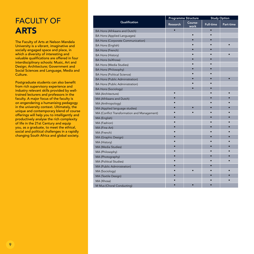## FACULTY OF ARTS

The Faculty of Arts at Nelson Mandela University is a vibrant, imaginative and socially engaged space and place, in which a diversity of interesting and valuable qualifications are offered in four interdisciplinary schools: Music, Art and Design; Architecture; Government and Social Sciences and Language, Media and Culture.

Postgraduate students can also benefit from rich supervisory experience and industry relevant skills provided by welltrained lecturers and professors in the faculty. A major focus of the faculty is on engendering a humanising pedagogy in the university context. Ultimately, the unique and contemporary blend of course offerings will help you to intelligently and productively analyse the rich complexity of life in the 21st Century and equip you, as a graduate, to meet the ethical, social and political challenges in a rapidly changing South Africa and global society.

|                                             | <b>Programme Structure</b> |                 | <b>Study Option</b> |           |
|---------------------------------------------|----------------------------|-----------------|---------------------|-----------|
| Qualification                               | Research                   | Course-<br>work | <b>Full-time</b>    | Part-time |
| BA Hons (Afrikaans and Dutch)               | $\bullet$                  |                 | $\bullet$           |           |
| <b>BA Hons (Applied Languages)</b>          |                            | $\bullet$       |                     |           |
| <b>BA Hons (Corporate Communication)</b>    |                            | $\bullet$       | $\bullet$           |           |
| <b>BA Hons (English)</b>                    |                            | ٠               |                     |           |
| <b>BA Hons (French)</b>                     |                            |                 |                     |           |
| <b>BA Hons (History)</b>                    |                            |                 |                     |           |
| <b>BA Hons (IsiXhosa)</b>                   |                            |                 |                     |           |
| <b>BA Hons (Media Studies)</b>              |                            |                 |                     |           |
| <b>BA Hons (Philosophy)</b>                 |                            |                 |                     |           |
| <b>BA Hons (Political Science)</b>          |                            |                 |                     |           |
| <b>BA Hons (Public Administration)</b>      |                            |                 |                     |           |
| <b>BA Hons (Public Administration)</b>      |                            |                 |                     |           |
| <b>BA Hons (Sociology)</b>                  |                            |                 |                     |           |
| MA (Architecture)                           |                            |                 |                     |           |
| MA (Afrikaans and Dutch)                    |                            |                 |                     |           |
| MA (Anthropology)                           |                            |                 |                     |           |
| MA (Applied language studies)               |                            |                 |                     |           |
| MA (Conflict Transformation and Management) |                            |                 |                     |           |
| MA (English)                                |                            |                 |                     |           |
| MA (Fashion)                                |                            |                 |                     |           |
| MA (Fine Art)                               |                            |                 |                     |           |
| MA (French)                                 |                            |                 |                     |           |
| MA (Graphic Design)                         |                            |                 |                     |           |
| MA (History)                                |                            |                 |                     |           |
| MA (Media Studies)                          |                            |                 |                     |           |
| MA (Philosophy)                             |                            |                 |                     |           |
| MA (Photography)                            |                            |                 |                     |           |
| MA (Political Studies)                      |                            |                 |                     |           |
| MA (Public Administration)                  |                            |                 |                     |           |
| MA (Sociology)                              |                            |                 |                     |           |
| MA (Textile Design)                         |                            |                 |                     |           |
| MA (Xhosa)                                  |                            |                 |                     |           |
| M Mus (Choral Conducting)                   |                            |                 |                     |           |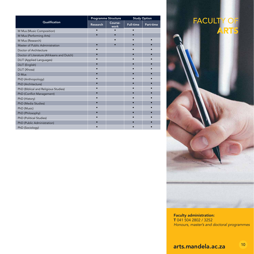|                                            | <b>Programme Structure</b> |                 |                  | <b>Study Option</b> |
|--------------------------------------------|----------------------------|-----------------|------------------|---------------------|
| Qualification                              | Research                   | Course-<br>work | <b>Full-time</b> | Part-time           |
| M Mus (Music Composition)                  |                            |                 |                  |                     |
| M Mus (Performing Arts)                    |                            |                 |                  |                     |
| M Mus (Research)                           |                            |                 |                  |                     |
| Master of Public Administration            |                            |                 |                  |                     |
| Doctor of Architecture                     |                            |                 | ٠                |                     |
| Doctor of Literature (Afrikaans and Dutch) |                            |                 |                  |                     |
| <b>DLIT</b> (Applied Languages)            |                            |                 |                  |                     |
| DLIT (English)                             |                            |                 |                  |                     |
| DLIT (Xhosa)                               |                            |                 |                  |                     |
| D Mus                                      |                            |                 |                  |                     |
| PhD (Anthropology)                         |                            |                 |                  |                     |
| PhD (Architecture)                         |                            |                 |                  |                     |
| PhD (Biblical and Religious Studies)       |                            |                 |                  |                     |
| PhD (Conflict Management)                  |                            |                 |                  |                     |
| PhD (History)                              |                            |                 |                  |                     |
| PhD (Media Studies)                        |                            |                 |                  |                     |
| PhD (Music)                                |                            |                 |                  |                     |
| PhD (Philosophy)                           |                            |                 |                  |                     |
| PhD (Political Studies)                    |                            |                 |                  |                     |
| PhD (Public Administration)                |                            |                 |                  |                     |
| PhD (Sociology)                            |                            |                 |                  |                     |

## FACULTY OF ARTS

Faculty administration: T 041 504 2802 / 3252 *Honours, master's and doctoral programmes*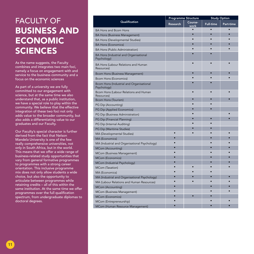## FACULTY OF BUSINESS AND ECONOMIC **SCIENCES**

As the name suggests, the Faculty combines and integrates two main foci, namely a focus on engagement with and service to the business community and a focus on the economic sciences

As part of a university we are fully committed to our engagement with science, but at the same time we also understand that, as a public institution, we have a special role to play within the community. We believe that the effective integration of these two foci not only adds value to the broader community, but also adds a differentiating value to our graduates and our Faculty.

Our Faculty's special character is further derived from the fact that Nelson Mandela University is one of the few really comprehensive universities, not only in South Africa, but in the world. This means that we offer a wide range of business-related study opportunities that vary from general formative programmes to programmes with a strong career orientation. This inclusive programme mix does not only allow students a wide choice, but also the opportunity to articulate between programmes while retaining credits – all of this within the same institution. At the same time we offer programmes over the full qualification spectrum, from undergraduate diplomas to doctoral degrees.

|                                                              |           | <b>Programme Structure</b> | <b>Study Option</b> |           |
|--------------------------------------------------------------|-----------|----------------------------|---------------------|-----------|
| Qualification                                                | Research  | Course-<br>work            | <b>Full-time</b>    | Part-time |
| <b>BA Hons and Bcom Hons</b>                                 |           |                            |                     |           |
| <b>BA Hons (Business Management)</b>                         |           |                            | $\bullet$           |           |
| <b>BA Hons (Developmental Studies)</b>                       |           |                            | $\bullet$           |           |
| <b>BA Hons (Economics)</b>                                   |           |                            |                     |           |
| <b>BA Hons (Public Administration)</b>                       |           |                            |                     |           |
| <b>BA Hons (Industrial and Organisational</b><br>Psychology) |           |                            |                     |           |
| BA Hons (Labour Relations and Human<br>Resources)            |           |                            |                     |           |
| <b>Bcom Hons (Business Management)</b>                       |           |                            |                     |           |
| <b>Bcom Hons (Economics)</b>                                 |           |                            |                     |           |
| Bcom Hons (Industrial and Organisational<br>Psychology)      |           |                            |                     |           |
| Bcom Hons (Labour Relations and Human<br>Resources)          |           |                            |                     |           |
| <b>Bcom Hons (Tourism)</b>                                   |           | ō                          |                     |           |
| PG Dip (Accounting)                                          |           |                            |                     |           |
| PG Dip (Applied Economics)                                   |           |                            |                     |           |
| PG Dip (Business Administration)                             |           |                            |                     |           |
| PG Dip (Financial Planning)                                  |           | ċ                          | $\bullet$           |           |
| PG Dip (Internal Auditing)                                   |           |                            |                     |           |
| PG Dip (Maritime Studies)                                    |           | ċ                          | $\bullet$           |           |
| MA (Developmental Studies)                                   |           |                            |                     |           |
| MA (Economics)                                               |           |                            |                     |           |
| MA (Industrial and Organisational Psychology)                |           |                            |                     |           |
| <b>MCom (Accounting)</b>                                     |           |                            |                     |           |
| MCom (Business Management)                                   |           |                            |                     |           |
| <b>MCom (Economics)</b>                                      |           |                            |                     |           |
| MCom (Industrial Psychology)                                 |           |                            |                     |           |
| MCom (Taxation)                                              |           | ō                          |                     |           |
| MA (Economics)                                               | $\bullet$ | ٠                          | $\bullet$           |           |
| MA (Industrial and Organisational Psychology)                | ٠         | ٠                          | $\bullet$           |           |
| MA (Labour Relations and Human Resources)                    |           |                            |                     |           |
| <b>MCom (Accounting)</b>                                     |           |                            |                     |           |
| MCom (Business Management)                                   |           |                            |                     |           |
| <b>MCom (Economics)</b>                                      |           | ٠                          |                     |           |
| MCom (Entrepreneurship)                                      |           |                            |                     |           |
| MCom (Human Resource Management)                             |           |                            |                     |           |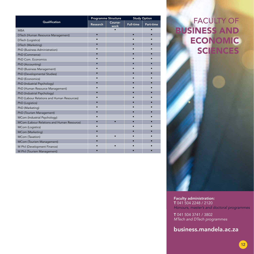|                                            | <b>Programme Structure</b> |                 | <b>Study Option</b> |           |
|--------------------------------------------|----------------------------|-----------------|---------------------|-----------|
| Qualification                              | <b>Research</b>            | Course-<br>work | <b>Full-time</b>    | Part-time |
| <b>MBA</b>                                 |                            |                 |                     |           |
| DTech (Human Resource Management)          | $\bullet$                  |                 | $\bullet$           |           |
| DTech (Logistics)                          |                            |                 |                     |           |
| DTech (Marketing)                          |                            |                 |                     |           |
| PhD (Business Administration)              |                            |                 |                     |           |
| PhD (Commerce)                             |                            |                 |                     |           |
| PhD Com. Economics                         |                            |                 |                     |           |
| PhD (Accounting)                           |                            |                 |                     |           |
| PhD (Business Management)                  |                            |                 |                     |           |
| PhD (Developmental Studies)                |                            |                 |                     |           |
| PhD (Economics)                            |                            |                 |                     |           |
| PhD (Industrial Psychology)                |                            |                 |                     |           |
| PhD (Human Resource Management)            |                            |                 |                     |           |
| PhD (Industrial Psychology)                |                            |                 |                     |           |
| PhD (Labour Relations and Human Resources) |                            |                 |                     |           |
| PhD (Logistics)                            |                            |                 |                     |           |
| PhD (Marketing)                            |                            |                 |                     |           |
| PhD (Tourism Management)                   |                            |                 |                     |           |
| MCom (Industrial Psychology)               |                            |                 |                     |           |
| MCom (Labour Relations and Human Resource) |                            |                 |                     |           |
| MCom (Logistics)                           |                            |                 |                     |           |
| MCom (Marketing)                           |                            |                 |                     |           |
| MCom (Taxation)                            |                            |                 |                     |           |
| MCom (Tourism Management)                  |                            |                 |                     |           |
| M Phil (Development Finance)               |                            |                 |                     |           |
| M Phil (Tourism Management)                |                            |                 |                     |           |

FACULTY OF BUSINESS AND **ECONOMIC** SCIENCES

Faculty administration: T 041 504 2248 / 2120 *Honours, master's and doctoral programmes*

T 041 504 3741 / 3802 *MTech and DTech programmes*

business.mandela.ac.za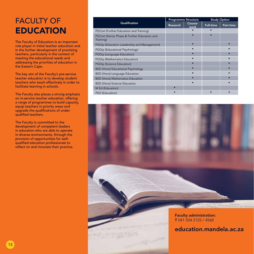## FACULTY OF **EDUCATION**

The Faculty of Education is an important role player in initial teacher education and in the further development of practising teachers, particularly in the context of meeting the educational needs and addressing the priorities of education in the Eastern Cape.

The key aim of the Faculty's pre-service teacher education is to develop student teachers who teach effectively in order to facilitate learning in schools.

The Faculty also places a strong emphasis on in-service teacher education, offering a range of programmes to build capacity, equip teachers in priority areas and upgrade the qualifications of underqualified teachers.

The Faculty is committed to the development of competent leaders in education who are able to operate in diverse environments, through the provision of opportunities for wellqualified education professionals to reflect on and innovate their practice.

|                                                           | <b>Programme Structure</b> |                 | <b>Study Option</b> |           |
|-----------------------------------------------------------|----------------------------|-----------------|---------------------|-----------|
| Qualification                                             | <b>Research</b>            | Course-<br>work | <b>Full-time</b>    | Part-time |
| PGCert (Further Education and Training)                   |                            |                 |                     |           |
| PGCert (Senior Phase & Further Education and<br>Training) |                            |                 |                     |           |
| PGDip (Education Leadership and Management)               |                            |                 |                     |           |
| PGDip (Educational Psychology)                            |                            |                 |                     |           |
| PGDip (Language Education)                                |                            |                 |                     |           |
| PGDip (Mathematics Education)                             |                            |                 |                     |           |
| <b>PGDip (Science Education)</b>                          |                            |                 |                     |           |
| BED (Hons) Educational Psychology                         |                            |                 |                     |           |
| BED (Hons) Language Education                             |                            |                 |                     |           |
| <b>BED (Hons) Mathematics Education</b>                   |                            |                 |                     |           |
| <b>BED (Hons) Science Education</b>                       |                            |                 |                     |           |
| M Ed (Education)                                          |                            |                 |                     |           |
| PhD (Education)                                           |                            |                 |                     |           |



education.mandela.ac.za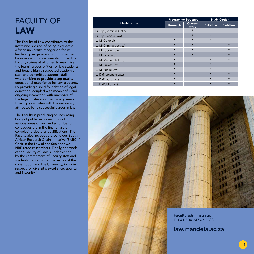### FACULTY OF LAW

The Faculty of Law contributes to the institution's vision of being a dynamic African university, recognised for its leadership in generating cutting-edge knowledge for a sustainable future. The Faculty strives at all times to maximise the learning possibilities for law students and boasts highly respected academic staff and committed support staff who combine to provide a top-quality educational experience for law students. By providing a solid foundation of legal education, coupled with meaningful and ongoing interaction with members of the legal profession, the Faculty seeks to equip graduates with the necessary attributes for a successful career in law

The Faculty is producing an increasing body of published research work in various areas of law, and a number of colleagues are in the final phase of completing doctoral qualifications. The Faculty also includes a prestigious South African Research Chairs Initiative (SARChI) Chair in the Law of the Sea and two NRF-rated researchers. Finally, the work of the Faculty of Law is underpinned by the commitment of Faculty staff and students to upholding the values of the constitution and the University, including respect for diversity, excellence, ubuntu and integrity."

|                          | <b>Programme Structure</b> |                 | <b>Study Option</b> |           |
|--------------------------|----------------------------|-----------------|---------------------|-----------|
| Qualification            | <b>Research</b>            | Course-<br>work | <b>Full-time</b>    | Part-time |
| PGDip (Criminal Justice) |                            |                 |                     |           |
| PGDip (Labour Law)       |                            |                 |                     |           |
| LL M (General)           |                            |                 |                     |           |
| LL M (Criminal Justice)  |                            |                 |                     |           |
| LL M (Labour Law)        |                            |                 |                     |           |
| LL M (Taxation)          |                            |                 |                     |           |
| LL M (Mercantile Law)    |                            |                 |                     |           |
| LL M (Private Law)       |                            |                 |                     |           |
| LL M (Public Law)        |                            |                 |                     |           |
| LL D (Mercantile Law)    |                            |                 |                     |           |
| LL D (Private Law)       |                            |                 |                     |           |
| LL D (Public Law)        |                            |                 |                     |           |

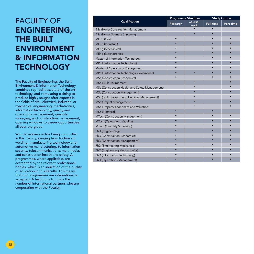#### FACULTY OF ENGINEERING, THE BUILT ENVIRONMENT & INFORMATION **TECHNOLOGY**

The Faculty of Engineering, the Built Environment & Information Technology combines top facilities, state-of-the-art technology, and stimulating training to produce highly sought-after experts in the fields of civil, electrical, industrial or mechanical engineering, mechatronics, information technology, quality and operations management, quantity surveying, and construction management, opening windows to career opportunities all over the globe.

World-class research is being conducted in this Faculty, ranging from friction stir welding, manufacturing technology and automotive manufacturing, to information security, telecommunications, multimedia, and construction health and safety. All programmes, where applicable, are accredited by the relevant professional bodies, which is an indication of the quality of education in this Faculty. This means that our programmes are internationally accepted. A testimony to this is the number of international partners who are cooperating with the Faculty.

|                                                 |          | <b>Programme Structure</b> | <b>Study Option</b> |           |
|-------------------------------------------------|----------|----------------------------|---------------------|-----------|
| Qualification                                   | Research | Course-<br>work            | <b>Full-time</b>    | Part-time |
| <b>BSc (Hons) Construction Management</b>       |          |                            |                     |           |
| <b>BSc (Hons) Quantity Surveying</b>            |          |                            |                     |           |
| MEng (Civil)                                    |          |                            |                     |           |
| MEng (Industrial)                               |          |                            |                     |           |
| MEng (Mechanical)                               |          |                            |                     |           |
| MEng (Mechatronics)                             |          |                            |                     |           |
| Master of Information Technology                |          |                            |                     |           |
| MPhil (Information Technology)                  |          |                            |                     |           |
| Master of Operations Management                 |          |                            |                     |           |
| MPhil (Information Technology Governance)       |          |                            |                     |           |
| MSc (Construction Economics)                    |          |                            |                     |           |
| MSc (Built Environment)                         |          | $\bullet$                  |                     |           |
| MSc (Construction Health and Safety Management) |          |                            |                     |           |
| MSc (Construction Management)                   |          |                            |                     |           |
| MSc (Built Environment: Facilities Management)  |          |                            |                     |           |
| MSc (Project Management)                        |          |                            |                     |           |
| MSc (Property Economics and Valuation)          |          |                            |                     |           |
| MSc (Electrical)                                |          |                            |                     |           |
| MTech (Construction Management)                 |          |                            |                     |           |
| MTech (Operations: Quality)                     |          |                            |                     |           |
| MTech (Quantity Surveying)                      |          |                            |                     |           |
| PhD (Engineering)                               |          |                            |                     |           |
| PhD (Construction Economics)                    |          |                            |                     |           |
| PhD (Construction Management)                   |          |                            |                     |           |
| PhD (Engineering Mechanical)                    |          |                            |                     |           |
| PhD (Engineering Mechatronics)                  |          |                            |                     |           |
| PhD (Information Technology)                    |          |                            |                     |           |
| PhD (Operations Management)                     |          |                            |                     |           |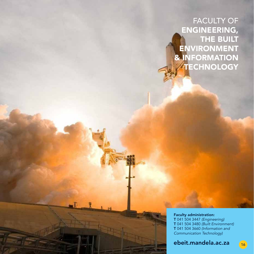FACULTY OF ENGINEERING, THE BUILT ENVIRONMENT & INFORMATION **TECHNOLOGY** 

Faculty administration: T 041 504 3447 *(Engineering)* T 041 504 3480 *(Built Environment)*  T 041 504 3660 *(Information and Communication Technology)*

ebeit.mandela.ac.za 16

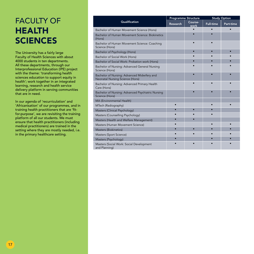## FACULTY OF HEALTH **SCIENCES**

The University has a fairly large Faculty of Health Sciences with about 4000 students in ten departments. All these departments, through our Interprofessional Education (IPE) project with the theme: 'transforming health sciences education to support equity in health'; work together in an integrated learning, research and health service delivery platform in serving communities that are in need.

In our agenda of 'recurriculation' and 'Africanisation' of our programmes, and in training health practitioners that are 'fitfor-purpose', we are revisiting the training platform of all our students. We must ensure that health practitioners (including medical practitioners) are trained in the setting where they are mostly needed, i.e. in the primary healthcare setting.

|                                                                                | <b>Programme Structure</b> |                 | <b>Study Option</b> |           |
|--------------------------------------------------------------------------------|----------------------------|-----------------|---------------------|-----------|
| Qualification                                                                  | Research                   | Course-<br>work | <b>Full-time</b>    | Part-time |
| Bachelor of Human Movement Science (Hons)                                      |                            |                 |                     |           |
| Bachelor of Human Movement Science: Biokinetics<br>(Hons)                      |                            |                 |                     |           |
| Bachelor of Human Movement Science: Coaching<br>Science (Hons)                 |                            |                 |                     |           |
| Bachelor of Psychology (Hons)                                                  |                            |                 |                     |           |
| Bachelor of Social Work (Hons)                                                 |                            |                 |                     |           |
| Bachelor of Social Work: Probation work (Hons)                                 |                            |                 |                     |           |
| Bachelor of Nursing: Advanced General Nursing<br>Science (Hons)                |                            |                 |                     |           |
| Bachelor of Nursing: Advanced Midwifery and<br>Neonatal Nursing Science (Hons) |                            |                 |                     |           |
| Bachelor of Nursing: Advanced Primary Health<br>Care (Hons)                    |                            |                 |                     |           |
| Bachelor of Nursing: Advanced Psychiatric Nursing<br>Science (Hons)            |                            |                 |                     |           |
| MA (Environmental Health)                                                      |                            |                 |                     |           |
| MTech (Radiography)                                                            |                            |                 |                     |           |
| Masters (Clinical Psychology)                                                  |                            | $\bullet$       |                     |           |
| Masters (Counselling Psychology)                                               |                            |                 |                     |           |
| Masters (Health and Welfare Management)                                        |                            |                 |                     |           |
| Masters (Human Movement Science)                                               |                            |                 |                     |           |
| Masters (Biokinetics)                                                          |                            |                 |                     |           |
| Masters (Sport Science)                                                        |                            |                 |                     |           |
| Masters (Psychology)                                                           |                            |                 |                     |           |
| Masters (Social Work: Social Development<br>and Planning)                      |                            |                 |                     |           |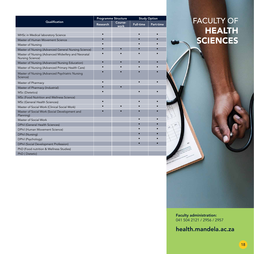|                                                                        |           | <b>Programme Structure</b> |                  | <b>Study Option</b> |  |
|------------------------------------------------------------------------|-----------|----------------------------|------------------|---------------------|--|
| Qualification                                                          | Research  | Course-<br>work            | <b>Full-time</b> | Part-time           |  |
|                                                                        |           |                            |                  |                     |  |
| MHSc in Medical laboratory Science                                     | $\bullet$ |                            | $\bullet$        |                     |  |
| Master of Human Movement Science                                       | ٠         |                            |                  |                     |  |
| Master of Nursing                                                      |           |                            |                  |                     |  |
| Master of Nursing (Advanced General Nursing Science)                   | ٠         | ٠                          |                  |                     |  |
| Master of Nursing (Advanced Midwifery and Neonatal<br>Nursing Science) |           |                            |                  |                     |  |
| Master of Nursing (Advanced Nursing Education)                         | $\bullet$ |                            | $\bullet$        |                     |  |
| Master of Nursing (Advanced Primary Health Care)                       | ٠         |                            |                  |                     |  |
| Master of Nursing (Advanced Psychiatric Nursing<br>Science)            |           |                            |                  |                     |  |
| Master of Pharmacy                                                     | ٠         |                            |                  |                     |  |
| Master of Pharmacy (Industrial)                                        | ٠         | $\bullet$                  |                  |                     |  |
| MSc (Dietetics)                                                        |           |                            |                  |                     |  |
| MSc (Food Nutrition and Wellness Science)                              |           |                            |                  |                     |  |
| MSc (General Health Sciences)                                          |           |                            |                  |                     |  |
| Master of Social Work (Clinical Social Work)                           |           | ٠                          |                  |                     |  |
| Master of Social Work (Social Development and<br>Planning)             |           |                            |                  |                     |  |
| Master of Social Work                                                  |           |                            |                  |                     |  |
| <b>DPhil (General Health Sciences)</b>                                 |           |                            |                  |                     |  |
| DPhil (Human Movement Science)                                         |           |                            |                  |                     |  |
| DPhil (Nursing)                                                        |           |                            |                  |                     |  |
| DPhil (Psychology)                                                     |           |                            |                  |                     |  |
| <b>DPhil (Social Development Profession)</b>                           |           |                            |                  |                     |  |
| PhD (Food nutrition & Wellness Studies)                                |           |                            |                  |                     |  |
| PhD (Dietetic)                                                         |           |                            |                  |                     |  |

## FACULTY OF HEALTH **SCIENCES**

Faculty administration: 041 504 2121 / 2956 / 2957

health.mandela.ac.za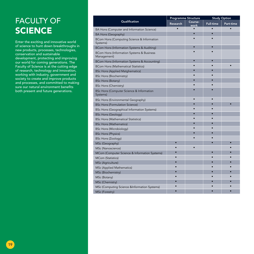## FACULTY OF **SCIENCE**

Enter the exciting and innovative world of science to hunt down breakthroughs in new products, processes, technologies, conservation and sustainable development, protecting and improving our world for coming generations. The Faculty of Science is at the cutting edge of research, technology and innovation, working with industry, government and society to create and improve products and processes, and committed to making sure our natural environment benefits both present and future generations.

|                                                          | <b>Programme Structure</b> |                 | <b>Study Option</b> |           |
|----------------------------------------------------------|----------------------------|-----------------|---------------------|-----------|
| Qualification                                            | Research                   | Course-<br>work | <b>Full-time</b>    | Part-time |
| BA Hons (Computer and Information Science)               |                            |                 |                     |           |
| BA Hons (Geography)                                      |                            |                 |                     |           |
| BCom Hons (Computing Science & Information<br>Systems)   |                            |                 |                     |           |
| BCom Hons (Information Systems & Auditing)               |                            |                 |                     |           |
| BCom Hons (Information Systems & Business<br>Management) |                            |                 |                     |           |
| BCom Hons (Information Systems & Accounting)             |                            | $\bullet$       |                     |           |
| <b>BCom Hons (Mathematical Statistics)</b>               |                            | $\bullet$       |                     |           |
| <b>BSc Hons (Applied Matghematics)</b>                   |                            | $\bullet$       |                     |           |
| <b>BSc Hons (Biochemistry)</b>                           |                            |                 |                     |           |
| <b>BSc Hons (Botany)</b>                                 |                            | $\bullet$       |                     |           |
| <b>BSc Hons (Chemistry)</b>                              |                            |                 |                     |           |
| BSc Hons (Computer Science & Information<br>Systems)     |                            |                 |                     |           |
| BSc Hons (Environmental Geography)                       |                            |                 |                     |           |
| <b>BSc Hons (Formulation Science)</b>                    |                            | $\bullet$       |                     | ō         |
| <b>BSc Hons (Geographical Information Systems)</b>       |                            | $\bullet$       |                     |           |
| <b>BSc Hons (Geology)</b>                                |                            |                 |                     |           |
| <b>BSc Hons (Mathematical Statistics)</b>                |                            |                 |                     |           |
| <b>BSc Hons (Mathematics)</b>                            |                            |                 |                     |           |
| <b>BSc Hons (Microbiology)</b>                           |                            |                 |                     |           |
| <b>BSc Hons (Physics)</b>                                |                            |                 |                     |           |
| <b>BSc Hons (Zoology)</b>                                |                            |                 |                     |           |
| MSc (Geography)                                          |                            |                 |                     |           |
| MSc (Nanoscience)                                        |                            |                 |                     |           |
| MCom (Computer Science & Information Systems)            |                            |                 |                     |           |
| <b>MCom (Statistics)</b>                                 |                            |                 |                     |           |
| MSc (Agriculture)                                        |                            |                 |                     |           |
| MSc (Applied Mathematics)                                |                            |                 |                     |           |
| MSc (Biochemistry)                                       |                            |                 |                     |           |
| MSc (Botany)                                             |                            |                 |                     |           |
| MSc (Chemistry)                                          |                            |                 |                     |           |
| MSc (Computing Science &Information Systems)             |                            |                 |                     |           |
| MSc (Forestry)                                           |                            |                 |                     |           |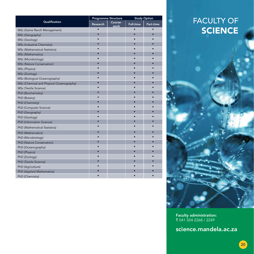|                                          | <b>Programme Structure</b> |                 | <b>Study Option</b> |           |
|------------------------------------------|----------------------------|-----------------|---------------------|-----------|
| Qualification                            | <b>Research</b>            | Course-<br>work | <b>Full-time</b>    | Part-time |
| MSc (Game Ranch Management)              | $\bullet$                  |                 | $\bullet$           |           |
| MSc (Geography)                          |                            |                 |                     |           |
| MSc (Geology)                            |                            |                 |                     |           |
| MSc (Industrial Chemistry)               |                            |                 |                     |           |
| MSc (Mathematical Statistics)            |                            |                 |                     |           |
| MSc (Mathematics)                        |                            |                 |                     |           |
| MSc (Microbiology)                       |                            |                 |                     |           |
| MSc (Nature Conservation)                |                            |                 |                     |           |
| MSc (Physics)                            |                            |                 |                     |           |
| MSc (Zoology)                            |                            |                 |                     |           |
| MSc (Biological Oceanography)            |                            |                 |                     |           |
| MSc (Chemical and Physical Oceanography) |                            |                 |                     |           |
| MSc (Textile Science)                    |                            |                 |                     |           |
| PhD (Biochemistry)                       |                            |                 |                     |           |
| PhD (Botany)                             |                            |                 |                     |           |
| PhD (Chemistry)                          |                            |                 |                     |           |
| PhD (Computer Science)                   |                            |                 |                     |           |
| PhD (Geography)                          |                            |                 |                     |           |
| PhD (Geology)                            |                            |                 |                     |           |
| PhD (Information Science)                |                            |                 |                     |           |
| PhD (Mathematical Statistics)            |                            |                 |                     |           |
| PhD (Mathematics)                        |                            |                 |                     |           |
| PhD (Microbiology)                       |                            |                 |                     |           |
| PhD (Nature Conservation)                |                            |                 |                     |           |
| PhD (Oceanography)                       |                            |                 |                     |           |
| PhD (Physics)                            |                            |                 |                     |           |
| PhD (Zoology)                            |                            |                 |                     |           |
| PhD (Textile Science)                    |                            |                 |                     |           |
| PhD (Agriculture)                        |                            |                 |                     |           |
| PhD (Applied Mathematics)                |                            |                 |                     |           |
| PhD (Chemistry)                          |                            |                 |                     |           |

## FACULTY OF **SCIENCE**

Faculty administration: T 041 504 2268 / 2249

science.mandela.ac.za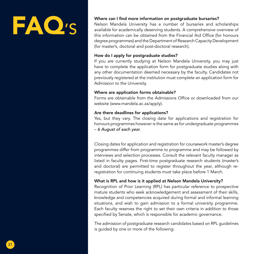# FAO)

#### Where can I find more information on postgraduate bursaries?

Nelson Mandela University has a number of bursaries and scholarships available for academically deserving students. A comprehensive overview of this information can be obtained from the Financial Aid Office (for honours degree programmes) and the Department of Research Capacity Development (for master's, doctoral and post-doctoral research).

#### How do I apply for postgraduate studies?

If you are currently studying at Nelson Mandela University, you may just have to complete the application form for postgraduate studies along with any other documentation deemed necessary by the faculty. Candidates not previously registered at the institution must complete an application form for Admission to the University.

#### Where are application forms obtainable?

Forms are obtainable from the Admissions Office or downloaded from our website (www.mandela.ac.za/apply).

#### Are there deadlines for applications?

Yes, but they vary. The closing date for applications and registration for honours programmes however is the same as for undergraduate programmes – *6 August of each year.*

Closing dates for application and registration for coursework master's degree programmes differ from programme to programme and may be followed by interviews and selection processes. Consult the relevant faculty manager as listed in faculty pages. First-time postgraduate research students (master's and doctoral) are permitted to register throughout the year, although reregistration for continuing students must take place before 1 March.

#### What is RPL and how is it applied at Nelson Mandela University?

Recognition of Prior Learning (RPL) has particular reference to prospective mature students who seek acknowledgement and assessment of their skills, knowledge and competencies acquired during formal and informal learning situations, and wish to gain admission to a formal university programme. Each faculty reserves the right to set their own criteria in addition to those specified by Senate, which is responsible for academic governance.

The admission of postgraduate research candidates based on RPL guidelines is guided by one or more of the following: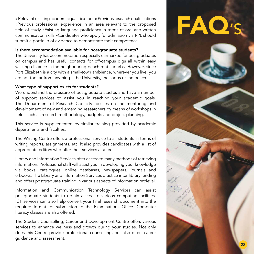» Relevant existing academic qualifications » Previous research qualifications »Previous professional experience in an area relevant to the proposed field of study »Existing language proficiency in terms of oral and written communication skills »Candidates who apply for admission via RPL should submit a portfolio of evidence to demonstrate their competence.

#### Is there accommodation available for postgraduate students?

The University has accommodation especially earmarked for postgraduates on campus and has useful contacts for off-campus digs all within easy walking distance in the neighbouring beachfront suburbs. However, since Port Elizabeth is a city with a small-town ambience, wherever you live, you are not too far from anything – the University, the shops or the beach.

#### What type of support exists for students?

We understand the pressure of postgraduate studies and have a number of support services to assist you in reaching your academic goals. The Department of Research Capacity focuses on the mentoring and development of new and emerging researchers by means of workshops in fields such as research methodology, budgets and project planning.

This service is supplemented by similar training provided by academic departments and faculties.

The Writing Centre offers a professional service to all students in terms of writing reports, assignments, etc. It also provides candidates with a list of appropriate editors who offer their services at a fee.

Library and Information Services offer access to many methods of retrieving information. Professional staff will assist you in developing your knowledge via books, catalogues, online databases, newspapers, journals and e-books. The Library and Information Services practice inter-library lending and offers postgraduate training in various aspects of information retrieval.

Information and Communication Technology Services can assist postgraduate students to obtain access to various computing facilities. ICT services can also help convert your final research document into the required format for submission to the Examinations Office. Computer literacy classes are also offered.

The Student Counselling, Career and Development Centre offers various services to enhance wellness and growth during your studies. Not only does this Centre provide professional counselling, but also offers career guidance and assessment.

# FAQ'S

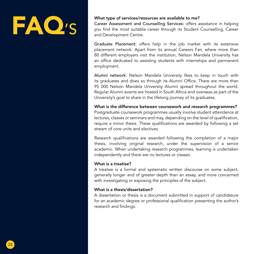## FAO<sup>,</sup>

#### What type of services/resources are available to me?

Career Assessment and Counselling Services: offers assistance in helping you find the most suitable career through its Student Counselling, Career and Development Centre.

Graduate Placement: offers help in the job market with its extensive placement network. Apart from its annual Careers Fair, where more than 80 different employers visit the institution, Nelson Mandela University has an office dedicated to assisting students with internships and permanent employment.

Alumni network: Nelson Mandela University likes to keep in touch with its graduates and does so through its Alumni Office. There are more than 95 000 Nelson Mandela University Alumni spread throughout the world. Regular Alumni events are hosted in South Africa and overseas as part of the University's goal to share in the lifelong journey of its graduates.

What is the difference between coursework and research programmes? Postgraduate coursework programmes usually involve student attendance at lectures, classes or seminars and may, depending on the level of qualification, require a minor thesis. These qualifications are awarded by following a set stream of core units and electives.

Research qualifications are awarded following the completion of a major thesis, involving original research, under the supervision of a senior academic. When undertaking research programmes, learning is undertaken independently and there are no lectures or classes.

#### What is a treatise?

A treatise is a formal and systematic written discourse on some subject, generally longer and of greater depth than an essay, and more concerned with investigating or exposing the principles of the subject.

#### What is a thesis/dissertation?

A dissertation or thesis is a document submitted in support of candidature for an academic degree or professional qualification presenting the author's research and findings.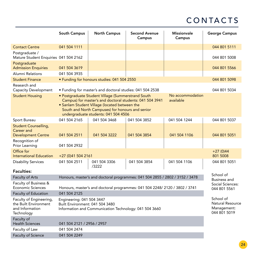## CONTACTS

|                                                                                   | South Campus                                                                                                                                                                                                                                                                                 | <b>North Campus</b>                                          | <b>Second Avenue</b><br>Campus | <b>Missionvale</b><br>Campus | <b>George Campus</b> |  |  |
|-----------------------------------------------------------------------------------|----------------------------------------------------------------------------------------------------------------------------------------------------------------------------------------------------------------------------------------------------------------------------------------------|--------------------------------------------------------------|--------------------------------|------------------------------|----------------------|--|--|
| <b>Contact Centre</b>                                                             | 041 504 1111                                                                                                                                                                                                                                                                                 |                                                              |                                |                              | 044 801 5111         |  |  |
| Postgraduate /<br>Mature Student Enquiries 041 504 2162                           |                                                                                                                                                                                                                                                                                              |                                                              |                                |                              | 044 801 5008         |  |  |
| Postgraduate<br><b>Admission Enquiries</b>                                        | 041 504 3619                                                                                                                                                                                                                                                                                 |                                                              |                                |                              | 044 801 5566         |  |  |
| Alumni Relations                                                                  | 041 504 3935                                                                                                                                                                                                                                                                                 |                                                              |                                |                              |                      |  |  |
| <b>Student Finance</b>                                                            |                                                                                                                                                                                                                                                                                              | • Funding for honours studies: 041 504 2550                  |                                |                              | 044 801 5098         |  |  |
| Research and<br><b>Capacity Development</b>                                       |                                                                                                                                                                                                                                                                                              | • Funding for master's and doctoral studies: 041 504 2538    |                                |                              | 044 801 5034         |  |  |
| <b>Student Housing</b>                                                            | No accommodation<br>· Postgraduate Student Village (Summerstrand South<br>Campus) for master's and doctoral students: 041 504 3941<br>available<br>• Sanlam Student Village (located between the<br>South and North Campuses) for honours and senior<br>undergraduate students: 041 504 4506 |                                                              |                                |                              |                      |  |  |
| Sport Bureau                                                                      | 041 504 2165                                                                                                                                                                                                                                                                                 | 041 504 3468                                                 | 041 504 3852                   | 041 504 1244                 | 044 801 5037         |  |  |
| <b>Student Counselling,</b><br>Career and<br><b>Development Centre</b>            | 041 504 2511                                                                                                                                                                                                                                                                                 | 041 504 3222                                                 | 041 504 3854                   | 041 504 1106                 | 044 801 5051         |  |  |
| Recognition of<br>Prior Learning                                                  | 041 504 2932                                                                                                                                                                                                                                                                                 |                                                              |                                |                              |                      |  |  |
| Office for<br><b>International Education</b>                                      | +27 (0)41 504 2161                                                                                                                                                                                                                                                                           | $+27(0)44$<br>801 5008                                       |                                |                              |                      |  |  |
| <b>Disability Services</b>                                                        | 041 504 2511                                                                                                                                                                                                                                                                                 | 041 504 3306<br>/3222                                        | 041 504 3854                   | 041 504 1106                 | 044 801 5051         |  |  |
| <b>Faculties:</b>                                                                 |                                                                                                                                                                                                                                                                                              |                                                              |                                |                              | School of            |  |  |
| Faculty of Arts                                                                   | Honours, master's and doctoral programmes: 041 504 2855 / 2802 / 3152 / 3478                                                                                                                                                                                                                 | <b>Business and</b>                                          |                                |                              |                      |  |  |
| Faculty of Business &<br><b>Economic Sciences</b>                                 | Honours, master's and doctoral programmes: 041 504 2248/ 2120 / 3802 / 3741                                                                                                                                                                                                                  | Social Sciences:<br>044 801 5561                             |                                |                              |                      |  |  |
| Faculty of Education                                                              | 041 504 2125                                                                                                                                                                                                                                                                                 |                                                              |                                |                              |                      |  |  |
| Faculty of Engineering,<br>the Built Environment<br>and Information<br>Technology | Engineering: 041 504 3447<br>Built Environment: 041 504 3480<br>Information and Communication Technology: 041 504 3660                                                                                                                                                                       | School of<br>Natural Resource<br>Management:<br>044 801 5019 |                                |                              |                      |  |  |
| Faculty of<br><b>Health Sciences</b>                                              | 041 504 2121 / 2956 / 2957                                                                                                                                                                                                                                                                   |                                                              |                                |                              |                      |  |  |
| Faculty of Law                                                                    | 041 504 2474                                                                                                                                                                                                                                                                                 |                                                              |                                |                              |                      |  |  |
| <b>Faculty of Science</b>                                                         | 041 504 2249                                                                                                                                                                                                                                                                                 |                                                              |                                |                              |                      |  |  |